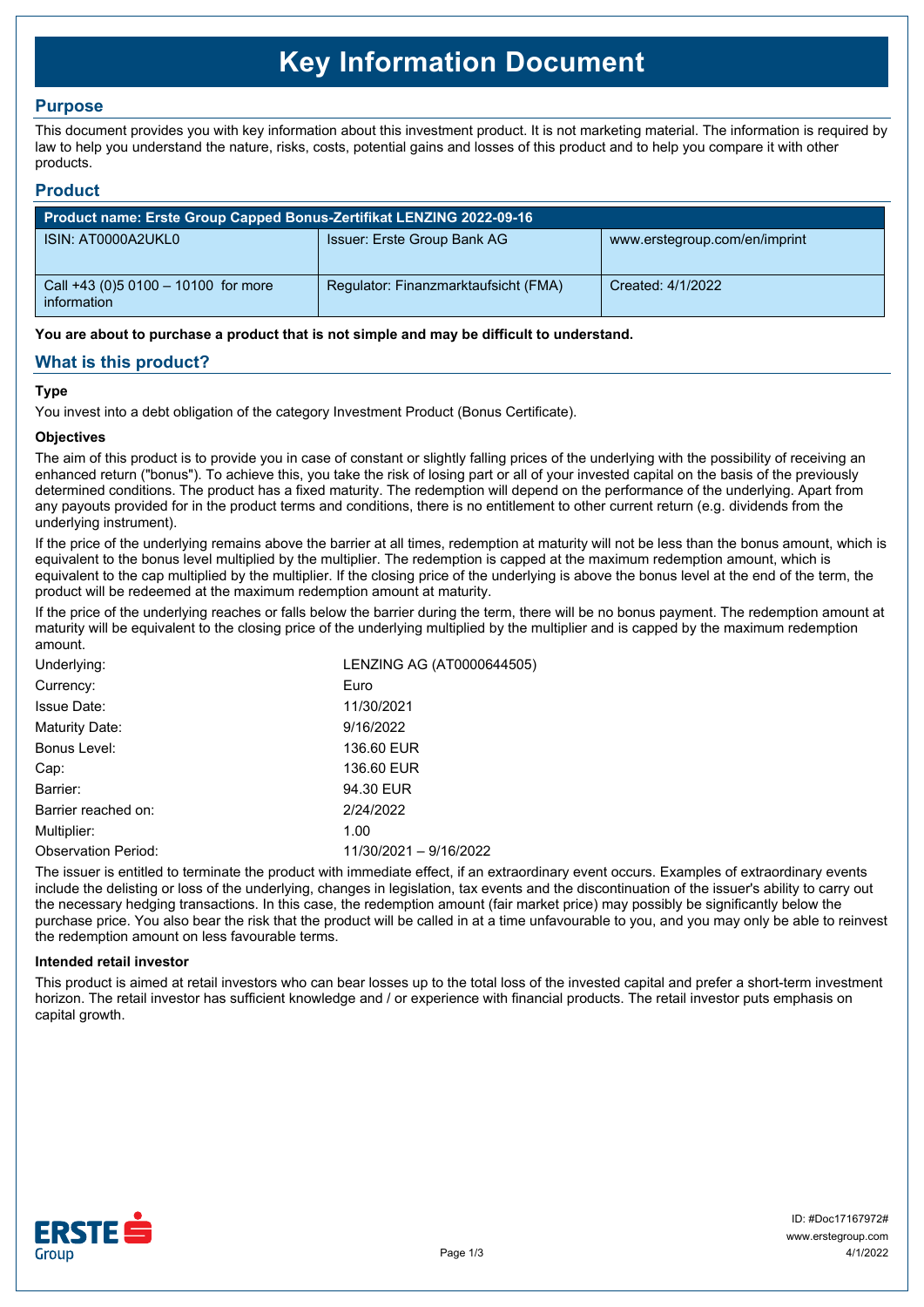# **Key Information Document**

## **Purpose**

This document provides you with key information about this investment product. It is not marketing material. The information is required by law to help you understand the nature, risks, costs, potential gains and losses of this product and to help you compare it with other products.

## **Product**

| Product name: Erste Group Capped Bonus-Zertifikat LENZING 2022-09-16 |                                      |                               |  |  |
|----------------------------------------------------------------------|--------------------------------------|-------------------------------|--|--|
| ISIN: AT0000A2UKL0                                                   | Issuer: Erste Group Bank AG          | www.erstegroup.com/en/imprint |  |  |
| Call +43 (0) 5 0100 - 10100 for more<br>information                  | Regulator: Finanzmarktaufsicht (FMA) | Created: 4/1/2022             |  |  |

**You are about to purchase a product that is not simple and may be difficult to understand.**

## **What is this product?**

## **Type**

You invest into a debt obligation of the category Investment Product (Bonus Certificate).

#### **Objectives**

The aim of this product is to provide you in case of constant or slightly falling prices of the underlying with the possibility of receiving an enhanced return ("bonus"). To achieve this, you take the risk of losing part or all of your invested capital on the basis of the previously determined conditions. The product has a fixed maturity. The redemption will depend on the performance of the underlying. Apart from any payouts provided for in the product terms and conditions, there is no entitlement to other current return (e.g. dividends from the underlying instrument).

If the price of the underlying remains above the barrier at all times, redemption at maturity will not be less than the bonus amount, which is equivalent to the bonus level multiplied by the multiplier. The redemption is capped at the maximum redemption amount, which is equivalent to the cap multiplied by the multiplier. If the closing price of the underlying is above the bonus level at the end of the term, the product will be redeemed at the maximum redemption amount at maturity.

If the price of the underlying reaches or falls below the barrier during the term, there will be no bonus payment. The redemption amount at maturity will be equivalent to the closing price of the underlying multiplied by the multiplier and is capped by the maximum redemption amount.

| LENZING AG (AT0000644505)<br>Underlying: |                        |
|------------------------------------------|------------------------|
| Currency:                                | Euro                   |
| <b>Issue Date:</b>                       | 11/30/2021             |
| Maturity Date:                           | 9/16/2022              |
| Bonus Level:                             | 136.60 EUR             |
| Cap:                                     | 136.60 EUR             |
| Barrier:                                 | 94.30 EUR              |
| Barrier reached on:                      | 2/24/2022              |
| Multiplier:                              | 1.00                   |
| <b>Observation Period:</b>               | 11/30/2021 - 9/16/2022 |

The issuer is entitled to terminate the product with immediate effect, if an extraordinary event occurs. Examples of extraordinary events include the delisting or loss of the underlying, changes in legislation, tax events and the discontinuation of the issuer's ability to carry out the necessary hedging transactions. In this case, the redemption amount (fair market price) may possibly be significantly below the purchase price. You also bear the risk that the product will be called in at a time unfavourable to you, and you may only be able to reinvest the redemption amount on less favourable terms.

#### **Intended retail investor**

This product is aimed at retail investors who can bear losses up to the total loss of the invested capital and prefer a short-term investment horizon. The retail investor has sufficient knowledge and / or experience with financial products. The retail investor puts emphasis on capital growth.

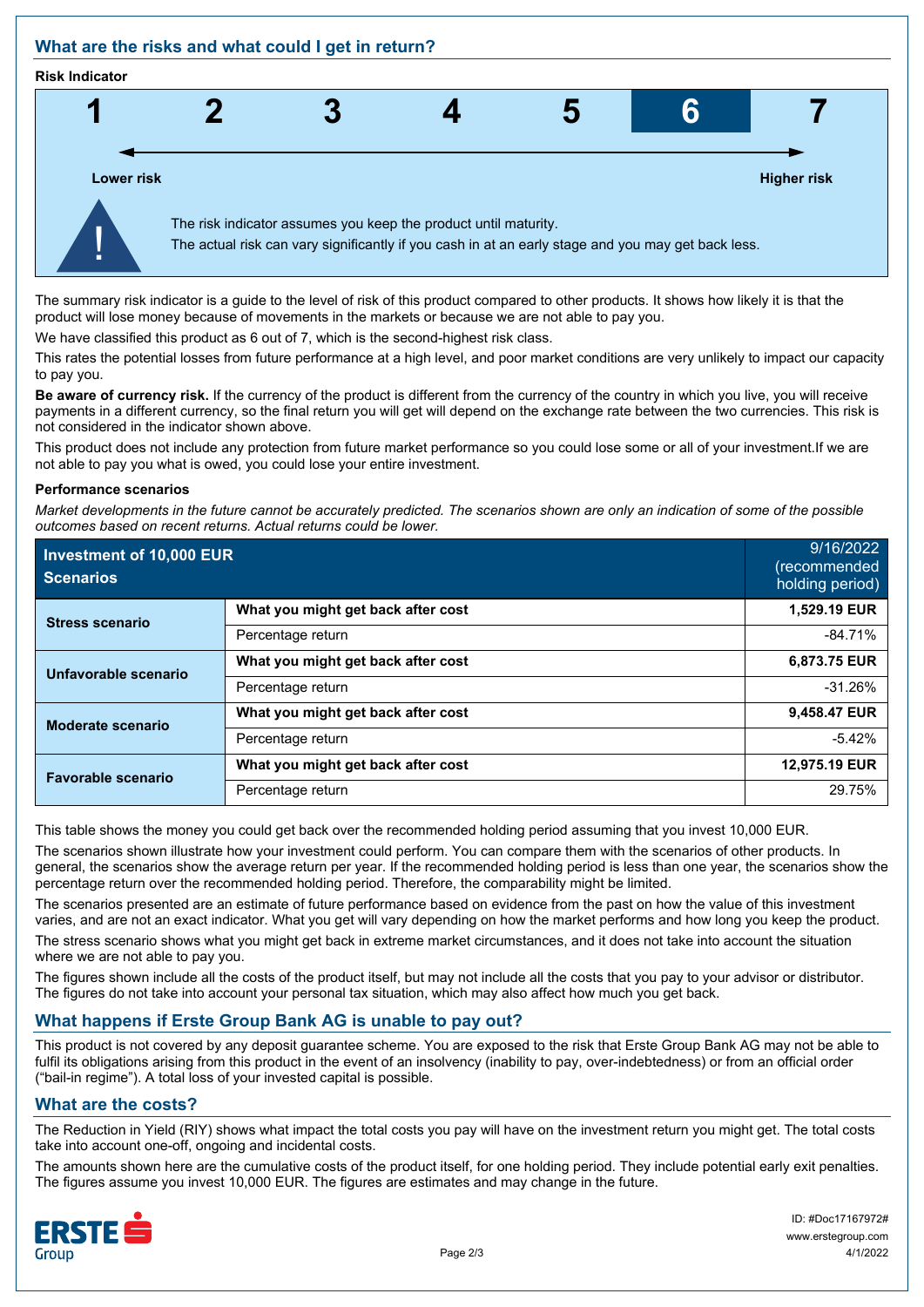## **What are the risks and what could I get in return?**

#### **Risk Indicator**



The summary risk indicator is a guide to the level of risk of this product compared to other products. It shows how likely it is that the product will lose money because of movements in the markets or because we are not able to pay you.

We have classified this product as 6 out of 7, which is the second-highest risk class.

This rates the potential losses from future performance at a high level, and poor market conditions are very unlikely to impact our capacity to pay you.

**Be aware of currency risk.** If the currency of the product is different from the currency of the country in which you live, you will receive payments in a different currency, so the final return you will get will depend on the exchange rate between the two currencies. This risk is not considered in the indicator shown above.

This product does not include any protection from future market performance so you could lose some or all of your investment.If we are not able to pay you what is owed, you could lose your entire investment.

#### **Performance scenarios**

*Market developments in the future cannot be accurately predicted. The scenarios shown are only an indication of some of the possible outcomes based on recent returns. Actual returns could be lower.*

| Investment of 10,000 EUR<br><b>Scenarios</b> |                                    | 9/16/2022<br>(recommended<br>holding period) |
|----------------------------------------------|------------------------------------|----------------------------------------------|
| <b>Stress scenario</b>                       | What you might get back after cost | 1,529.19 EUR                                 |
|                                              | Percentage return                  | $-84.71%$                                    |
| Unfavorable scenario                         | What you might get back after cost | 6,873.75 EUR                                 |
|                                              | Percentage return                  | $-31.26%$                                    |
| Moderate scenario                            | What you might get back after cost | 9,458.47 EUR                                 |
|                                              | Percentage return                  | $-5.42%$                                     |
| <b>Favorable scenario</b>                    | What you might get back after cost | 12,975.19 EUR                                |
|                                              | Percentage return                  | 29.75%                                       |

This table shows the money you could get back over the recommended holding period assuming that you invest 10,000 EUR.

The scenarios shown illustrate how your investment could perform. You can compare them with the scenarios of other products. In general, the scenarios show the average return per year. If the recommended holding period is less than one year, the scenarios show the percentage return over the recommended holding period. Therefore, the comparability might be limited.

The scenarios presented are an estimate of future performance based on evidence from the past on how the value of this investment varies, and are not an exact indicator. What you get will vary depending on how the market performs and how long you keep the product. The stress scenario shows what you might get back in extreme market circumstances, and it does not take into account the situation where we are not able to pay you.

The figures shown include all the costs of the product itself, but may not include all the costs that you pay to your advisor or distributor. The figures do not take into account your personal tax situation, which may also affect how much you get back.

## **What happens if Erste Group Bank AG is unable to pay out?**

This product is not covered by any deposit guarantee scheme. You are exposed to the risk that Erste Group Bank AG may not be able to fulfil its obligations arising from this product in the event of an insolvency (inability to pay, over-indebtedness) or from an official order ("bail-in regime"). A total loss of your invested capital is possible.

## **What are the costs?**

The Reduction in Yield (RIY) shows what impact the total costs you pay will have on the investment return you might get. The total costs take into account one-off, ongoing and incidental costs.

The amounts shown here are the cumulative costs of the product itself, for one holding period. They include potential early exit penalties. The figures assume you invest 10,000 EUR. The figures are estimates and may change in the future.